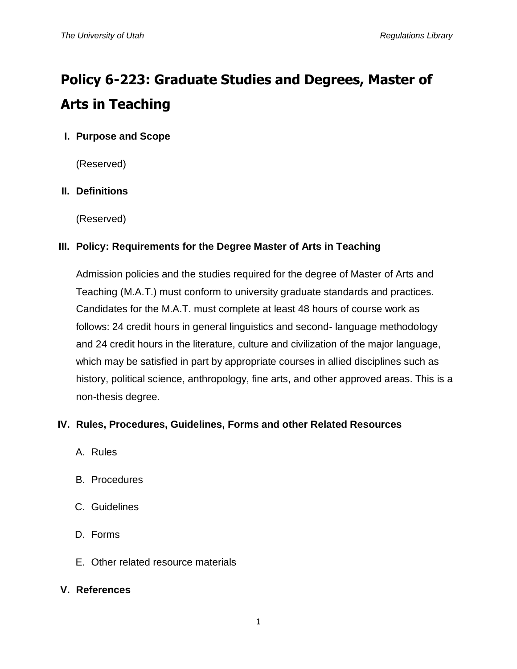# **Policy 6-223: Graduate Studies and Degrees, Master of Arts in Teaching**

# **I. Purpose and Scope**

(Reserved)

## **II. Definitions**

(Reserved)

## **III. Policy: Requirements for the Degree Master of Arts in Teaching**

Admission policies and the studies required for the degree of Master of Arts and Teaching (M.A.T.) must conform to university graduate standards and practices. Candidates for the M.A.T. must complete at least 48 hours of course work as follows: 24 credit hours in general linguistics and second- language methodology and 24 credit hours in the literature, culture and civilization of the major language, which may be satisfied in part by appropriate courses in allied disciplines such as history, political science, anthropology, fine arts, and other approved areas. This is a non-thesis degree.

## **IV. Rules, Procedures, Guidelines, Forms and other Related Resources**

- A. Rules
- B. Procedures
- C. Guidelines
- D. Forms
- E. Other related resource materials

#### **V. References**